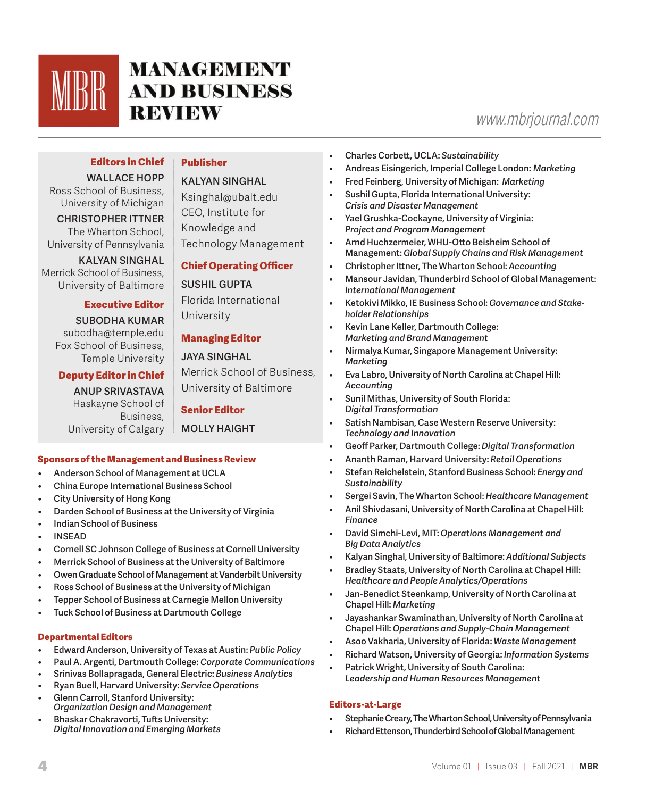

# **MANAGEMENT AND BUSINESS REVIEW**

## *www.mbrjournal.com*

#### **Editors in Chief WALLACE HOPP**

## **Publisher**

#### **KALYAN SINGHAL**

Ross School of Business, University of Michigan **CHRISTOPHER ITTNER** The Wharton School, University of Pennsylvania

**KALYAN SINGHAL** Merrick School of Business, University of Baltimore

#### **Executive Editor**

**SUBODHA KUMAR** subodha@temple.edu Fox School of Business, Temple University

#### **Deputy Editor in Chief**

**ANUP SRIVASTAVA** Haskayne School of Business, University of Calgary Ksinghal@ubalt.edu CEO, Institute for Knowledge and Technology Management

## **Chief Operating Officer**

#### **SUSHIL GUPTA**

Florida International University

## **Managing Editor**

#### **JAYA SINGHAL**

Merrick School of Business, University of Baltimore

## **Senior Editor**

**MOLLY HAIGHT**

#### **Sponsors of the Management and Business Review**

- **• Anderson School of Management at UCLA**
- **• China Europe International Business School**
- **• City University of Hong Kong**
- **• Darden School of Business at the University of Virginia**
- **• Indian School of Business**
- **• INSEAD**
- **• Cornell SC Johnson College of Business at Cornell University**
- **• Merrick School of Business at the University of Baltimore**
- **• Owen Graduate School of Management at Vanderbilt University**
- **• Ross School of Business at the University of Michigan**
- **• Tepper School of Business at Carnegie Mellon University**
- **• Tuck School of Business at Dartmouth College**

## **Departmental Editors**

- **• Edward Anderson, University of Texas at Austin:** *Public Policy*
- **• Paul A. Argenti, Dartmouth College:** *Corporate Communications*
- **• Srinivas Bollapragada, General Electric:** *Business Analytics*
- **• Ryan Buell, Harvard University:** *Service Operations*
- **• Glenn Carroll, Stanford University:** *Organization Design and Management*
- **• Bhaskar Chakravorti, Tufts University:** *Digital Innovation and Emerging Markets*
- **• Charles Corbett, UCLA:** *Sustainability*
- **• Andreas Eisingerich, Imperial College London:** *Marketing*
- **• Fred Feinberg, University of Michigan:** *Marketing*
- **• Sushil Gupta, Florida International University:**  *Crisis and Disaster Management*
- **• Yael Grushka-Cockayne, University of Virginia:**  *Project and Program Management*
- **• Arnd Huchzermeier, WHU-Otto Beisheim School of Management:** *Global Supply Chains and Risk Management*
- **• Christopher Ittner, The Wharton School:** *Accounting*
- **• Mansour Javidan, Thunderbird School of Global Management:** *International Management*
- **• Ketokivi Mikko, IE Business School:** *Governance and Stakeholder Relationships*
- **• Kevin Lane Keller, Dartmouth College:**  *Marketing and Brand Management*
- **• Nirmalya Kumar, Singapore Management University:**  *Marketing*
- **• Eva Labro, University of North Carolina at Chapel Hill:** *Accounting*
- **• Sunil Mithas, University of South Florida:** *Digital Transformation*
- **• Satish Nambisan, Case Western Reserve University:**  *Technology and Innovation*
- **• Geoff Parker, Dartmouth College:** *Digital Transformation*
- **• Ananth Raman, Harvard University:** *Retail Operations*
- **• Stefan Reichelstein, Stanford Business School:** *Energy and Sustainability*
- **• Sergei Savin, The Wharton School:** *Healthcare Management*
- **• Anil Shivdasani, University of North Carolina at Chapel Hill:**  *Finance*
- **• David Simchi-Levi, MIT:** *Operations Management and Big Data Analytics*
- **• Kalyan Singhal, University of Baltimore:** *Additional Subjects*
- **• Bradley Staats, University of North Carolina at Chapel Hill:** *Healthcare and People Analytics/Operations*
- **• Jan-Benedict Steenkamp, University of North Carolina at Chapel Hill:** *Marketing*
- **• Jayashankar Swaminathan, University of North Carolina at Chapel Hill:** *Operations and Supply-Chain Management*
- **• Asoo Vakharia, University of Florida:** *Waste Management*
- **• Richard Watson, University of Georgia:** *Information Systems*
- **• Patrick Wright, University of South Carolina:**  *Leadership and Human Resources Management*

## **Editors-at-Large**

- **• Stephanie Creary, The Wharton School, University of Pennsylvania**
- **• Richard Ettenson, Thunderbird School of Global Management**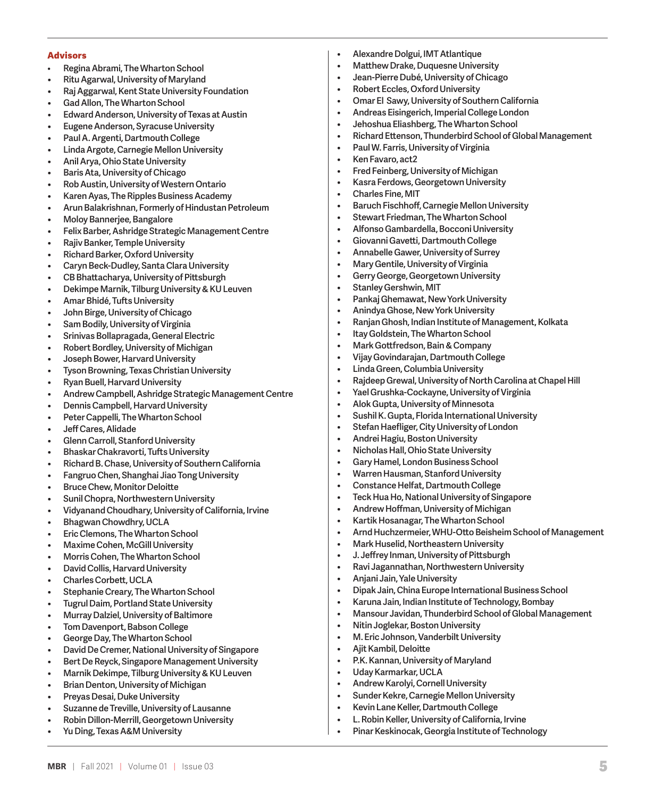#### **Advisors**

- **Regina Abrami, The Wharton School**
- **• Ritu Agarwal, University of Maryland**
- **• Raj Aggarwal, Kent State University Foundation**
- **• Gad Allon, The Wharton School**
- **• Edward Anderson, University of Texas at Austin**
- **• Eugene Anderson, Syracuse University**
- **• Paul A. Argenti, Dartmouth College**
- **• Linda Argote, Carnegie Mellon University**
- **• Anil Arya, Ohio State University**
- **• Baris Ata, University of Chicago**
- **• Rob Austin, University of Western Ontario**
- **• Karen Ayas, The Ripples Business Academy**
- **• Arun Balakrishnan, Formerly of Hindustan Petroleum**
- **• Moloy Bannerjee, Bangalore**
- **• Felix Barber, Ashridge Strategic Management Centre**
- **• Rajiv Banker, Temple University**
- **• Richard Barker, Oxford University**
- **• Caryn Beck-Dudley, Santa Clara University**
- **• CB Bhattacharya, University of Pittsburgh**
- **• Dekimpe Marnik, Tilburg University & KU Leuven**
- **• Amar Bhidé, Tufts University**
- **• John Birge, University of Chicago**
- **• Sam Bodily, University of Virginia**
- **• Srinivas Bollapragada, General Electric**
- **• Robert Bordley, University of Michigan**
- **• Joseph Bower, Harvard University**
- **• Tyson Browning, Texas Christian University**
- **• Ryan Buell, Harvard University**
- **• Andrew Campbell, Ashridge Strategic Management Centre**
- **• Dennis Campbell, Harvard University**
- **• Peter Cappelli, The Wharton School**
- **• Jeff Cares, Alidade**
- **• Glenn Carroll, Stanford University**
- **• Bhaskar Chakravorti, Tufts University**
- **• Richard B. Chase, University of Southern California**
- **• Fangruo Chen, Shanghai Jiao Tong University**
- **• Bruce Chew, Monitor Deloitte**
- **• Sunil Chopra, Northwestern University**
- **• Vidyanand Choudhary, University of California, Irvine**
- **• Bhagwan Chowdhry, UCLA**
- **• Eric Clemons, The Wharton School**
- **• Maxime Cohen, McGill University**
- **• Morris Cohen, The Wharton School**
- **• David Collis, Harvard University**
- **• Charles Corbett, UCLA**
- **• Stephanie Creary, The Wharton School**
- **• Tugrul Daim, Portland State University**
- **• Murray Dalziel, University of Baltimore**
- **• Tom Davenport, Babson College**
- **• George Day, The Wharton School**
- **• David De Cremer, National University of Singapore**
- **• Bert De Reyck, Singapore Management University**
- **• Marnik Dekimpe, Tilburg University & KU Leuven**
- **• Brian Denton, University of Michigan**
- **• Preyas Desai, Duke University**
- **• Suzanne de Treville, University of Lausanne**
- **• Robin Dillon-Merrill, Georgetown University**
- **• Yu Ding, Texas A&M University**
- **• Alexandre Dolgui, IMT Atlantique**
- **• Matthew Drake, Duquesne University**
- **• Jean-Pierre Dubé, University of Chicago**
- **• Robert Eccles, Oxford University**
- **• Omar El Sawy, University of Southern California**
- **• Andreas Eisingerich, Imperial College London**
- **• Jehoshua Eliashberg, The Wharton School**
- **• Richard Ettenson, Thunderbird School of Global Management**
- **• Paul W. Farris, University of Virginia**
- **• Ken Favaro, act2**
- **• Fred Feinberg, University of Michigan**
- **• Kasra Ferdows, Georgetown University**
- **• Charles Fine, MIT**
- **• Baruch Fischhoff, Carnegie Mellon University**
- **• Stewart Friedman, The Wharton School**
- **• Alfonso Gambardella, Bocconi University**
- **• Giovanni Gavetti, Dartmouth College**
- **• Annabelle Gawer, University of Surrey**
- **• Mary Gentile, University of Virginia**
- **• Gerry George, Georgetown University**
- **• Stanley Gershwin, MIT**
- **• Pankaj Ghemawat, New York University**
- **• Anindya Ghose, New York University**
- **• Ranjan Ghosh, Indian Institute of Management, Kolkata**
- **• Itay Goldstein, The Wharton School**
- **• Mark Gottfredson, Bain & Company**
- **• Vijay Govindarajan, Dartmouth College**
- **• Linda Green, Columbia University**
- **• Rajdeep Grewal, University of North Carolina at Chapel Hill**

**• Arnd Huchzermeier, WHU-Otto Beisheim School of Management**

**• Mansour Javidan, Thunderbird School of Global Management** 

**• Dipak Jain, China Europe International Business School • Karuna Jain, Indian Institute of Technology, Bombay**

- **• Yael Grushka-Cockayne, University of Virginia**
- **• Alok Gupta, University of Minnesota**
- **• Sushil K. Gupta, Florida International University**
- **• Stefan Haefliger, City University of London**
- **• Andrei Hagiu, Boston University**
- **• Nicholas Hall, Ohio State University**
- **• Gary Hamel, London Business School**
- **• Warren Hausman, Stanford University**
- **• Constance Helfat, Dartmouth College**
- **• Teck Hua Ho, National University of Singapore**
- **• Andrew Hoffman, University of Michigan**
- **• Kartik Hosanagar, The Wharton School**

**• Mark Huselid, Northeastern University • J. Jeffrey Inman, University of Pittsburgh • Ravi Jagannathan, Northwestern University**

**• Nitin Joglekar, Boston University • M. Eric Johnson, Vanderbilt University**

**• P.K. Kannan, University of Maryland**

**• Andrew Karolyi, Cornell University • Sunder Kekre, Carnegie Mellon University • Kevin Lane Keller, Dartmouth College** 

**• L. Robin Keller, University of California, Irvine • Pinar Keskinocak, Georgia Institute of Technology**

**• Anjani Jain, Yale University**

**• Ajit Kambil, Deloitte**

**• Uday Karmarkar, UCLA**

**MBR** | Fall 2021 | Volume 01 | Issue 03 **5 5 5 5 5 5 5 5 5 5 6 7 6 7 7 7 8 5 5 5 5 6 7 7 8 7 7 8 7 7 8 7 7 8 7 7 8 7 7 8 7 7 8 7 7 8 7 7 8 7 7 8 7 7 8 7 7 8 7 8 7 8 7 8 7 8 7 8 7 8 7 8 7 8 7 8 7 8 7 8 7 8 7 8 7 8 7 8 7 8**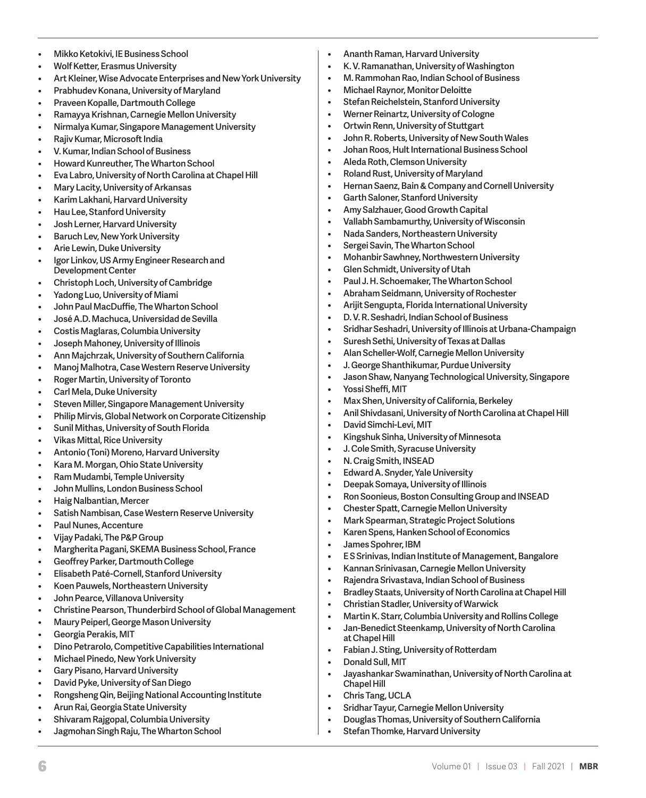- **• Mikko Ketokivi, IE Business School**
- **• Wolf Ketter, Erasmus University**
- **• Art Kleiner, Wise Advocate Enterprises and New York University**
- **• Prabhudev Konana, University of Maryland**
- **• Praveen Kopalle, Dartmouth College**
- **• Ramayya Krishnan, Carnegie Mellon University**
- **• Nirmalya Kumar, Singapore Management University**
- **• Rajiv Kumar, Microsoft India**
- **• V. Kumar, Indian School of Business**
- **• Howard Kunreuther, The Wharton School**
- **• Eva Labro, University of North Carolina at Chapel Hill**
- **• Mary Lacity, University of Arkansas**
- **• Karim Lakhani, Harvard University**
- **• Hau Lee, Stanford University**
- **• Josh Lerner, Harvard University**
- **• Baruch Lev, New York University**
- **• Arie Lewin, Duke University**
- **• Igor Linkov, US Army Engineer Research and Development Center**
- **• Christoph Loch, University of Cambridge**
- **• Yadong Luo, University of Miami**
- **• John Paul MacDuffie, The Wharton School**
- **• José A.D. Machuca, Universidad de Sevilla**
- **• Costis Maglaras, Columbia University**
- **• Joseph Mahoney, University of Illinois**
- **• Ann Majchrzak, University of Southern California**
- **• Manoj Malhotra, Case Western Reserve University**
- **• Roger Martin, University of Toronto**
- **• Carl Mela, Duke University**
- **• Steven Miller, Singapore Management University**
- **• Philip Mirvis, Global Network on Corporate Citizenship**
- **• Sunil Mithas, University of South Florida**
- **• Vikas Mittal, Rice University**
- **• Antonio (Toni) Moreno, Harvard University**
- **• Kara M. Morgan, Ohio State University**
- **• Ram Mudambi, Temple University**
- **• John Mullins, London Business School**
- **• Haig Nalbantian, Mercer**
- **• Satish Nambisan, Case Western Reserve University**
- **• Paul Nunes, Accenture**
- **• Vijay Padaki, The P&P Group**
- **• Margherita Pagani, SKEMA Business School, France**
- **• Geoffrey Parker, Dartmouth College**
- **• Elisabeth Paté-Cornell, Stanford University**
- **• Koen Pauwels, Northeastern University**
- **• John Pearce, Villanova University**
- **• Christine Pearson, Thunderbird School of Global Management**
- **• Maury Peiperl, George Mason University**
- **• Georgia Perakis, MIT**
- **• Dino Petrarolo, Competitive Capabilities International**
- **• Michael Pinedo, New York University**
- **• Gary Pisano, Harvard University**
- **• David Pyke, University of San Diego**
- **• Rongsheng Qin, Beijing National Accounting Institute**
- **• Arun Rai, Georgia State University**
- **• Shivaram Rajgopal, Columbia University**
- **• Jagmohan Singh Raju, The Wharton School**
- **• Ananth Raman, Harvard University**
- **• K. V. Ramanathan, University of Washington**
- **• M. Rammohan Rao, Indian School of Business**
- **• Michael Raynor, Monitor Deloitte**
- **• Stefan Reichelstein, Stanford University**
- **• Werner Reinartz, University of Cologne**
- **• Ortwin Renn, University of Stuttgart**
- **• John R. Roberts, University of New South Wales**
- **• Johan Roos, Hult International Business School**
- **• Aleda Roth, Clemson University**
- **• Roland Rust, University of Maryland**
- **• Hernan Saenz, Bain & Company and Cornell University**
- **• Garth Saloner, Stanford University**
- **• Amy Salzhauer, Good Growth Capital**
- **• Vallabh Sambamurthy, University of Wisconsin**
- **• Nada Sanders, Northeastern University**
- **• Sergei Savin, The Wharton School**
- **• Mohanbir Sawhney, Northwestern University**
- **• Glen Schmidt, University of Utah**
- **• Paul J. H. Schoemaker, The Wharton School**
- **• Abraham Seidmann, University of Rochester**
- **• Arijit Sengupta, Florida International University**
- **• D. V. R. Seshadri, Indian School of Business**
- **• Sridhar Seshadri, University of Illinois at Urbana-Champaign**
- **• Suresh Sethi, University of Texas at Dallas**
- **• Alan Scheller-Wolf, Carnegie Mellon University**
- **• J. George Shanthikumar, Purdue University**
- **• Jason Shaw, Nanyang Technological University, Singapore**
- **• Yossi Sheffi, MIT**
- **• Max Shen, University of California, Berkeley**
- **• Anil Shivdasani, University of North Carolina at Chapel Hill**
- **• David Simchi-Levi, MIT**
- **• Kingshuk Sinha, University of Minnesota**
- **• J. Cole Smith, Syracuse University**
- **• N. Craig Smith, INSEAD**
- **• Edward A. Snyder, Yale University**
- **• Deepak Somaya, University of Illinois**
- **• Ron Soonieus, Boston Consulting Group and INSEAD**
- **• Chester Spatt, Carnegie Mellon University**
- **• Mark Spearman, Strategic Project Solutions**
- **• Karen Spens, Hanken School of Economics**
- **• James Spohrer, IBM**

**at Chapel Hill**

**Chapel Hill • Chris Tang, UCLA**

**• Donald Sull, MIT**

6 Volume 01 | Issue 03 | Fall 2021 | **MBR**

**• E S Srinivas, Indian Institute of Management, Bangalore**

**• Bradley Staats, University of North Carolina at Chapel Hill**

**• Martin K. Starr, Columbia University and Rollins College • Jan-Benedict Steenkamp, University of North Carolina** 

**• Jayashankar Swaminathan, University of North Carolina at** 

**• Kannan Srinivasan, Carnegie Mellon University • Rajendra Srivastava, Indian School of Business**

**• Christian Stadler, University of Warwick**

**• Sridhar Tayur, Carnegie Mellon University** 

**• Stefan Thomke, Harvard University**

**• Douglas Thomas, University of Southern California** 

**• Fabian J. Sting, University of Rotterdam**